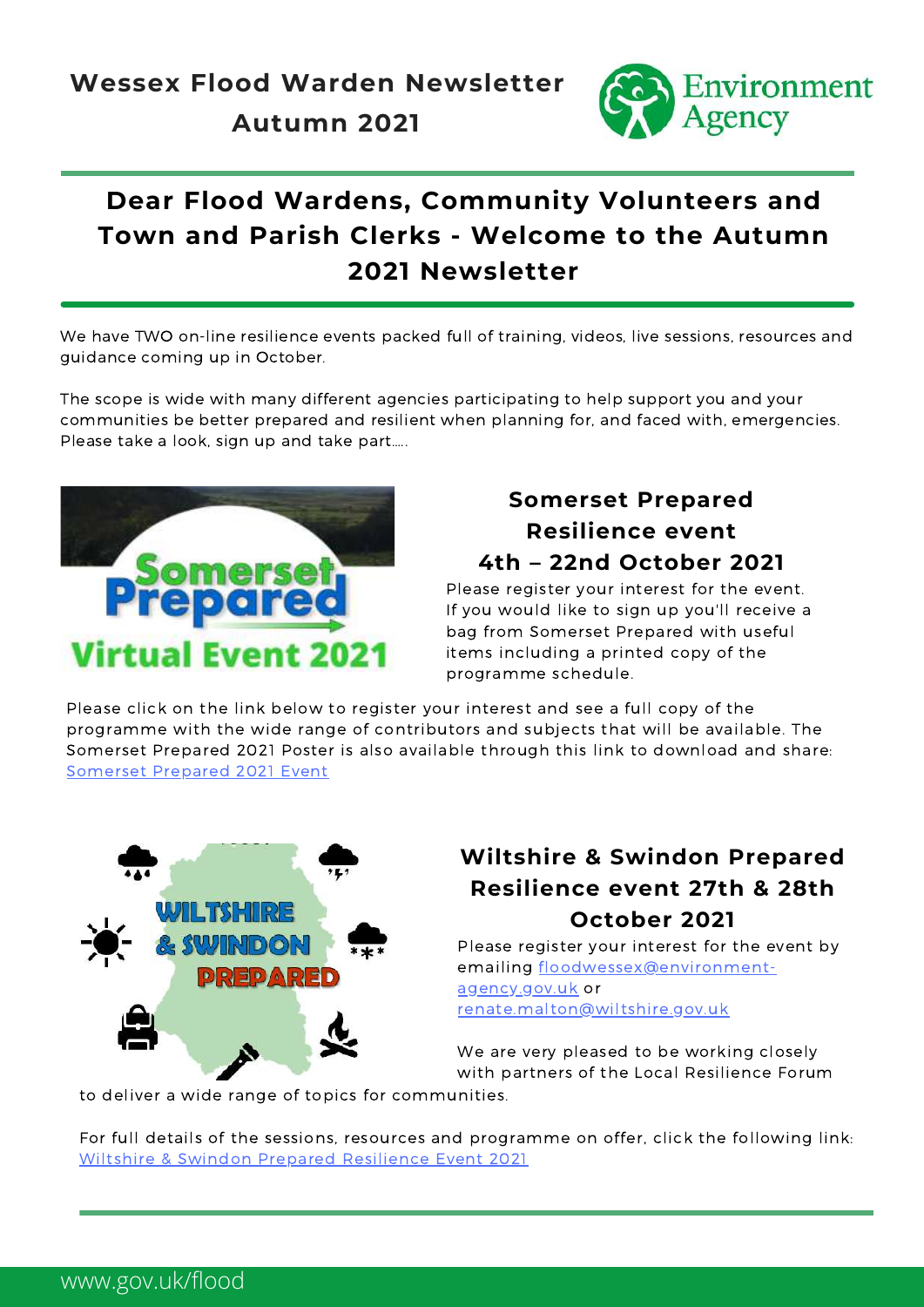

# **Dear Flood Wardens, Community Volunteers and Town and Parish Clerks - Welcome to the Autumn 2021 Newsletter**

We have TWO on-line resilience events packed full of training, videos, live sessions, resources and guidance coming up in October.

The scope is wide with many different agencies participating to help support you and your communities be better prepared and resilient when planning for, and faced with, emergencies. Please take a look, sign up and take part…..



## **Somerset Prepared Resilience event 4th – 22nd October 2021**

Please register your interest for the event. If you would like to sign up you'll receive a bag from Somerset Prepared with useful items including a printed copy of the programme schedule.

Please click on the link below to register your interest and see a full copy of the programme with the wide range of contributors and subjects that will be available. The Somerset Prepared 2021 Poster is also available through this link to download and share: [Somerset](http://www.somersetprepared.org.uk/somerset-prepared-event/) Prepared 2021 Event



## **Wiltshire & Swindon Prepared Resilience event 27th & 28th October 2021**

Please register your interest for the event by emailing [floodwessex@environment](mailto:floodwessex@environment-agency.gov.uk)agency.gov.uk or renate.malton@wiltshire.gov.uk

We are very pleased to be working closely with partners of the Local Resilience Forum

to deliver a wide range of topics for communities.

For full details of the sessions, resources and programme on offer, click the following link: Wiltshire & Swindon Prepared [Resilience](https://wiltshireandswindonprepared.org.uk/wiltshire-prepared) Event 2021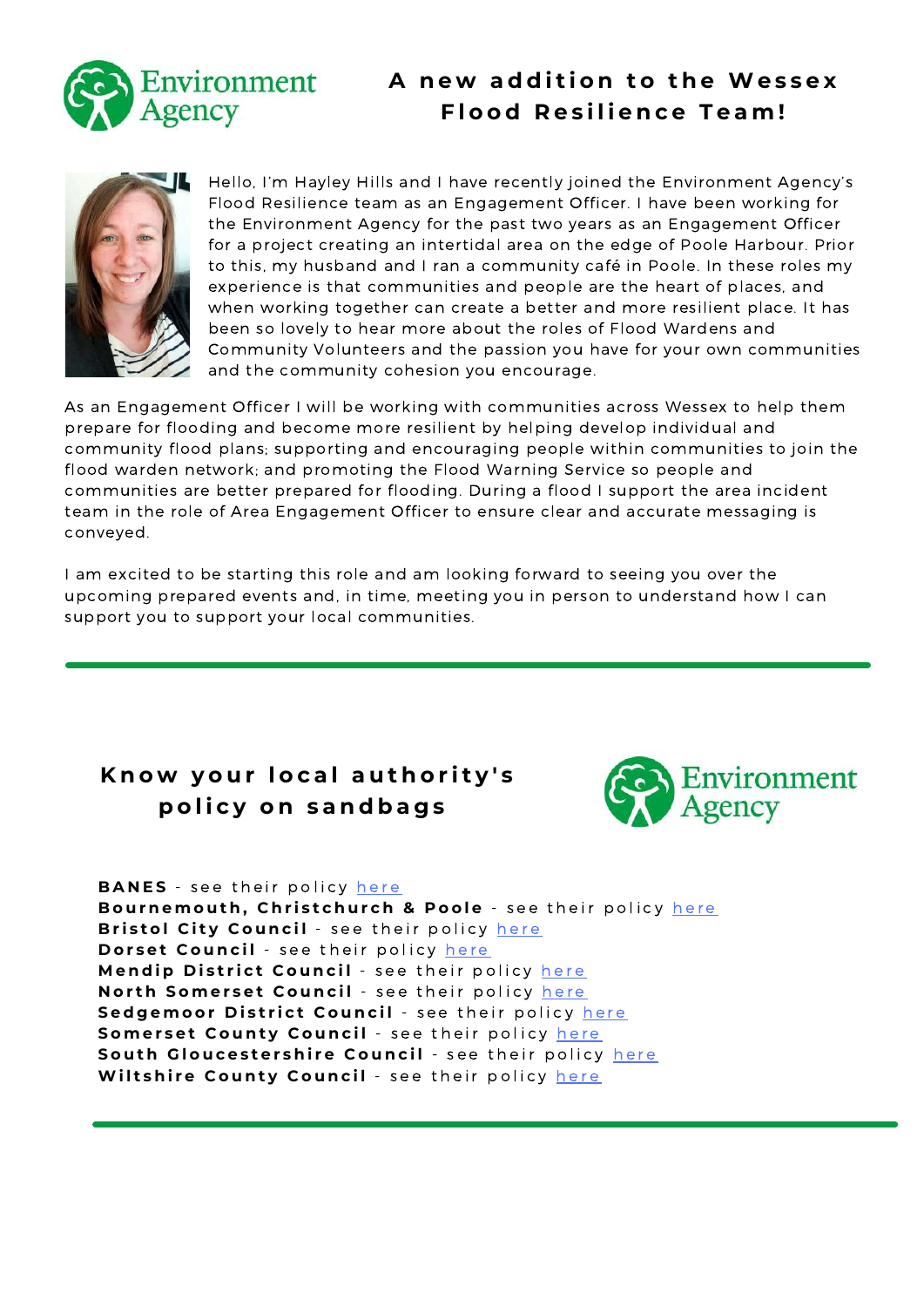

## **A n e w a d d i t i o n t o t h e We s s e x F l o o d R e s i l i e n c e T e a m !**



Hello, I'm Hayley Hills and I have recently joined the Environment Agency's Flood Resilience team as an Engagement Officer. I have been working for the Environment Agency for the past two years as an Engagement Officer for a project creating an intertidal area on the edge of Poole Harbour. Prior to this, my husband and I ran a community café in Poole. In these roles my experience is that communities and people are the heart of places, and when working together can create a better and more resilient place. It has been so lovely to hear more about the roles of Flood Wardens and Community Volunteers and the passion you have for your own communities and the community cohesion you encourage.

As an Engagement Officer I will be working with communities across Wessex to help them prepare for flooding and become more resilient by helping develop individual and community flood plans; supporting and encouraging people within communities to join the flood warden network; and promoting the Flood Warning Service so people and communities are better prepared for flooding. During a flood I support the area incident team in the role of Area Engagement Officer to ensure clear and accurate messaging is conveyed.

I am excited to be starting this role and am looking forward to seeing you over the upcoming prepared events and, in time, meeting you in person to understand how I can support you to support your local communities.

## **K n o w y o u r l o c a l a u t h o r i t y ' s p o l i c y o n s a n d b a g s**



**BANES** - see t[h](https://www.bathnes.gov.uk/services/your-council-and-democracy/emergencies/flooding?dm_t=0,0,0,0,0http://&dm_i=3O4M,17YDI,5KQ4FE,4DNDW,1)eir policy here

Bournemout[h](https://www.bcpcouncil.gov.uk/Roads-and-transport/Maintaining-our-roads/Extreme-weather/Flooding.aspx), Christchurch & Poole - see their policy here **Bristol City Council** - see t[h](https://www.bristol.gov.uk/crime-emergencies/flooding?dm_t=0,0,0,0,0http://&dm_i=3O4M,17YDI,5KQ4FE,4DNDY,1)eir policy here Dorset Council - see t[h](https://www.dorsetcouncil.gov.uk/-/sandbags-and-local-flooding-advice)eir policy here Mendip District Council - see t[h](https://www.mendip.gov.uk/flood?dm_t=0,0,0,0,0http://&dm_i=3O4M,17YDI,5KQ4FE,4DNE0,1)eir policy here **Nort[h](https://www.n-somerset.gov.uk/my-services/nuisances-pollution-environmental-issues/flooding-drainage/preparing-flooding) Somerset Council** - see their policy here Sedgemoor District Council - see t[h](https://somersetnewsroom.com/flooding/sandbags/?dm_i=3O4M,17YDI,5KQ4FE,4EFG9,1)eir policy here Somerset County Council - see t[h](https://www.somerset.gov.uk/?s=sandbags&dm_t=0,0,0,0,0http://&dm_i=3O4M,17YDI,5KQ4FE,4DNE3,1)eir policy here Sout[h](https://www.southglos.gov.uk/health-and-social-care/staying-healthy/health-protection/emergency-planning-and-weather-advice/emergencies/civil-emergencies-emergencies/civil-emergencies-flooding/preparing-for-flooding/?dm_t=0,0,0,0,0http://&dm_i=3O4M,17YDI,5KQ4FE,4DNE4,1) Gloucestershire Council - see their policy here Wilts[h](https://www.wiltshire.gov.uk/civil-emergencies-sandbags)ire County Council - see their policy here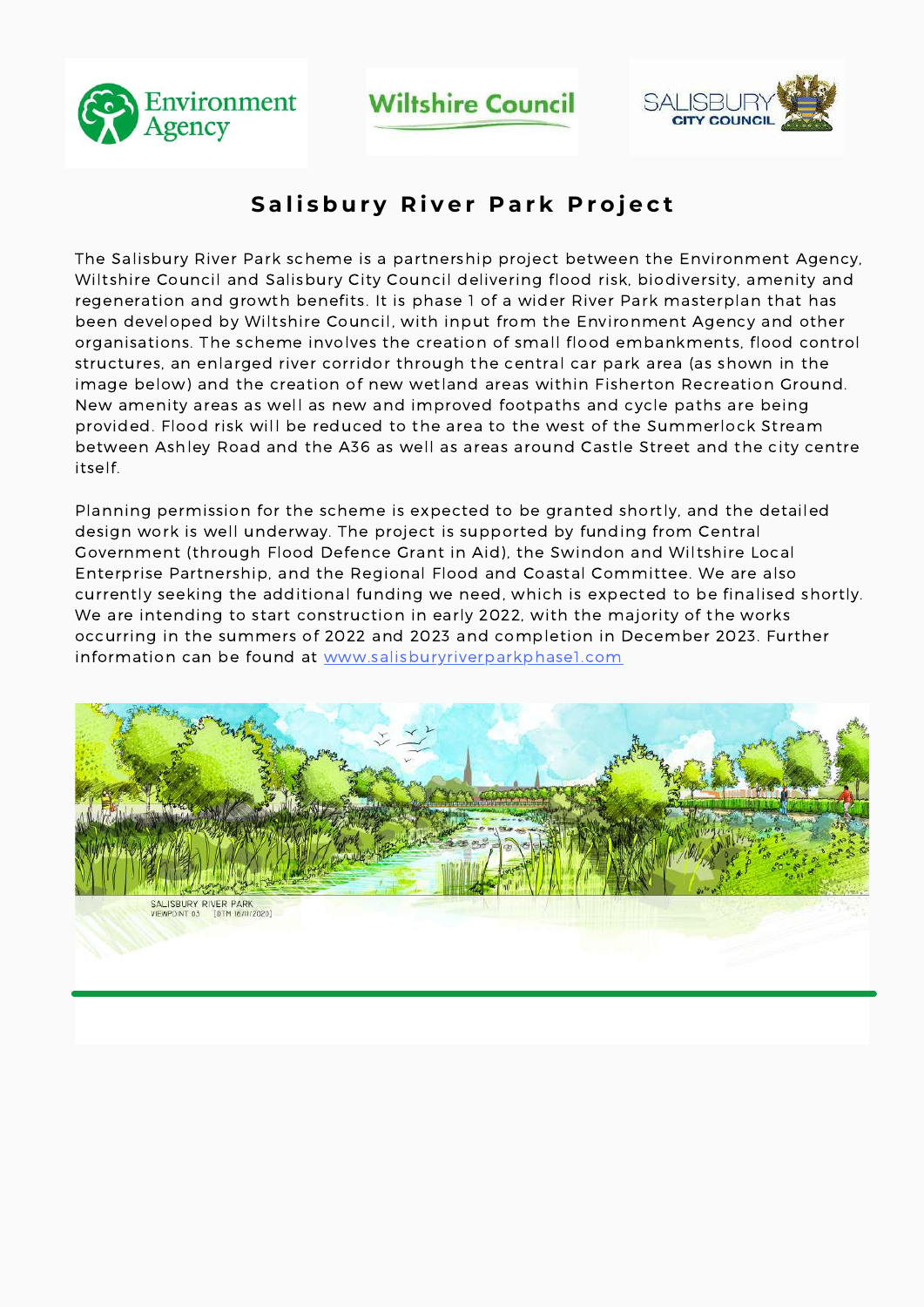

**Wiltshire Council** 



## **Salisbury River Park Project**

The Salisbury River Park scheme is a partnership project between the Environment Agency, Wiltshire Council and Salisbury City Council delivering flood risk, biodiversity, amenity and regeneration and growth benefits. It is phase 1 of a wider River Park masterplan that has been developed by Wiltshire Council, with input from the Environment Agency and other organisations. The scheme involves the creation of small flood embankments, flood control structures, an enlarged river corridor through the central car park area (as shown in the image below) and the creation of new wetland areas within Fisherton Recreation Ground. New amenity areas as well as new and improved footpaths and cycle paths are being provided. Flood risk will be reduced to the area to the west of the Summerlock Stream between Ashley Road and the A36 as well as areas around Castle Street and the city centre itself.

Planning permission for the scheme is expected to be granted shortly, and the detailed design work is well underway. The project is supported by funding from Central Government (through Flood Defence Grant in Aid), the Swindon and Wiltshire Local Enterprise Partnership, and the Regional Flood and Coastal Committee. We are also currently seeking the additional funding we need, which is expected to be finalised shortly. We are intending to start construction in early 2022, with the majority of the works occurring in the summers of 2022 and 2023 and completion in December 2023. Further information can be found at [www.salisburyriverparkphase1.com](http://www.salisburyriverparkphase1.com/)

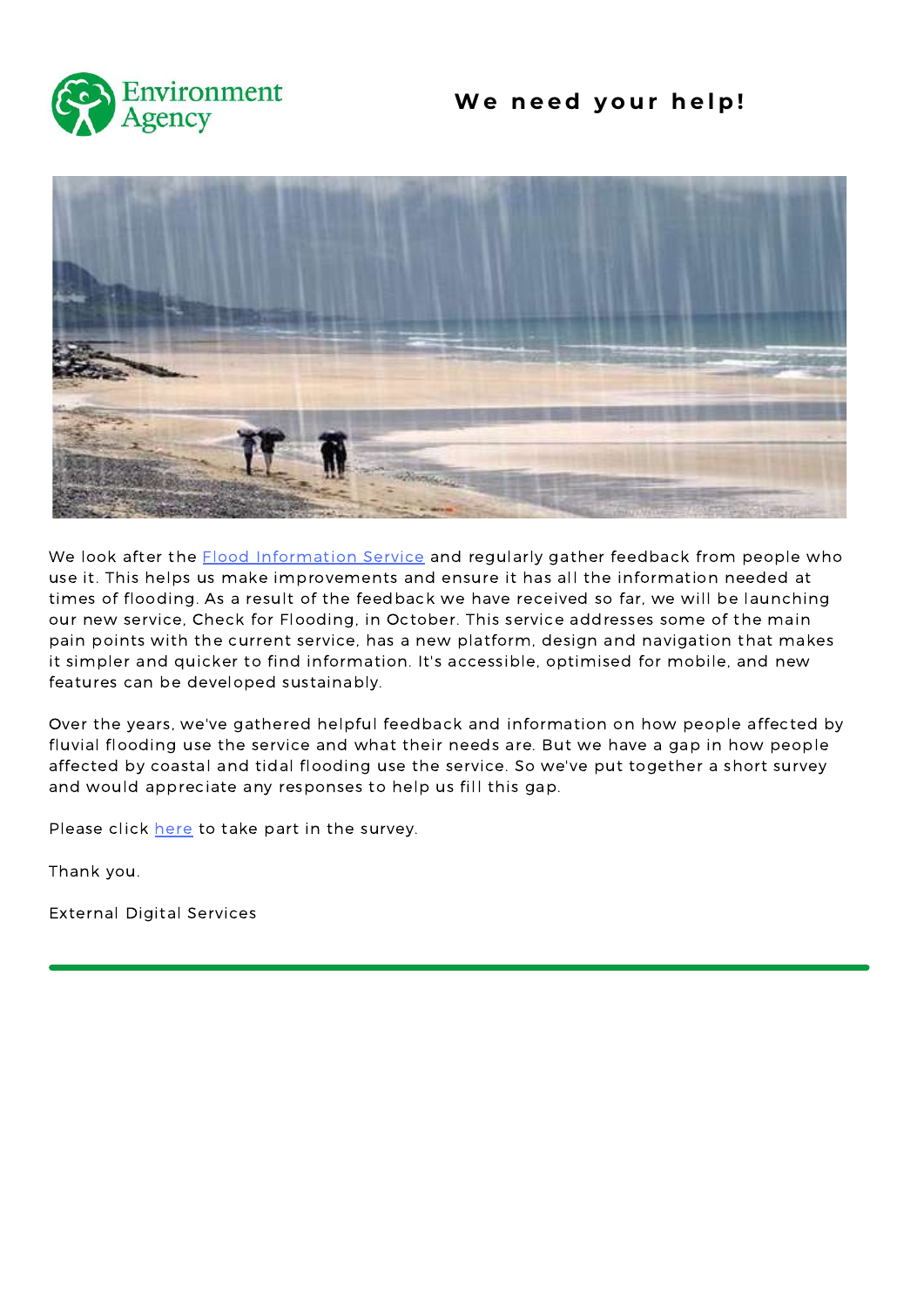

### **We n e e d y o u r h e l p !**



We look after the **Flood [Information](https://flood-warning-information.service.gov.uk/) Service and regularly gather feedback from people who** use it. This helps us make improvements and ensure it has all the information needed at times of flooding. As a result of the feedback we have received so far, we will be launching our new service, Check for Flooding, in October. This service addresses some of the main pain points with the current service, has a new platform, design and navigation that makes it simpler and quicker to find information. It's accessible, optimised for mobile, and new features can be developed sustainably.

Over the years, we've gathered helpful feedback and information on how people affected by fluvial flooding use the service and what their needs are. But we have a gap in how people affected by coastal and tidal flooding use the service. So we've put together a short survey and would appreciate any responses to help us fill this gap.

Please click [here](https://defragroup.eu.qualtrics.com/jfe/form/SV_6Yg5qLPMta4UaH4) to take part in the survey.

Thank you.

External Digital Services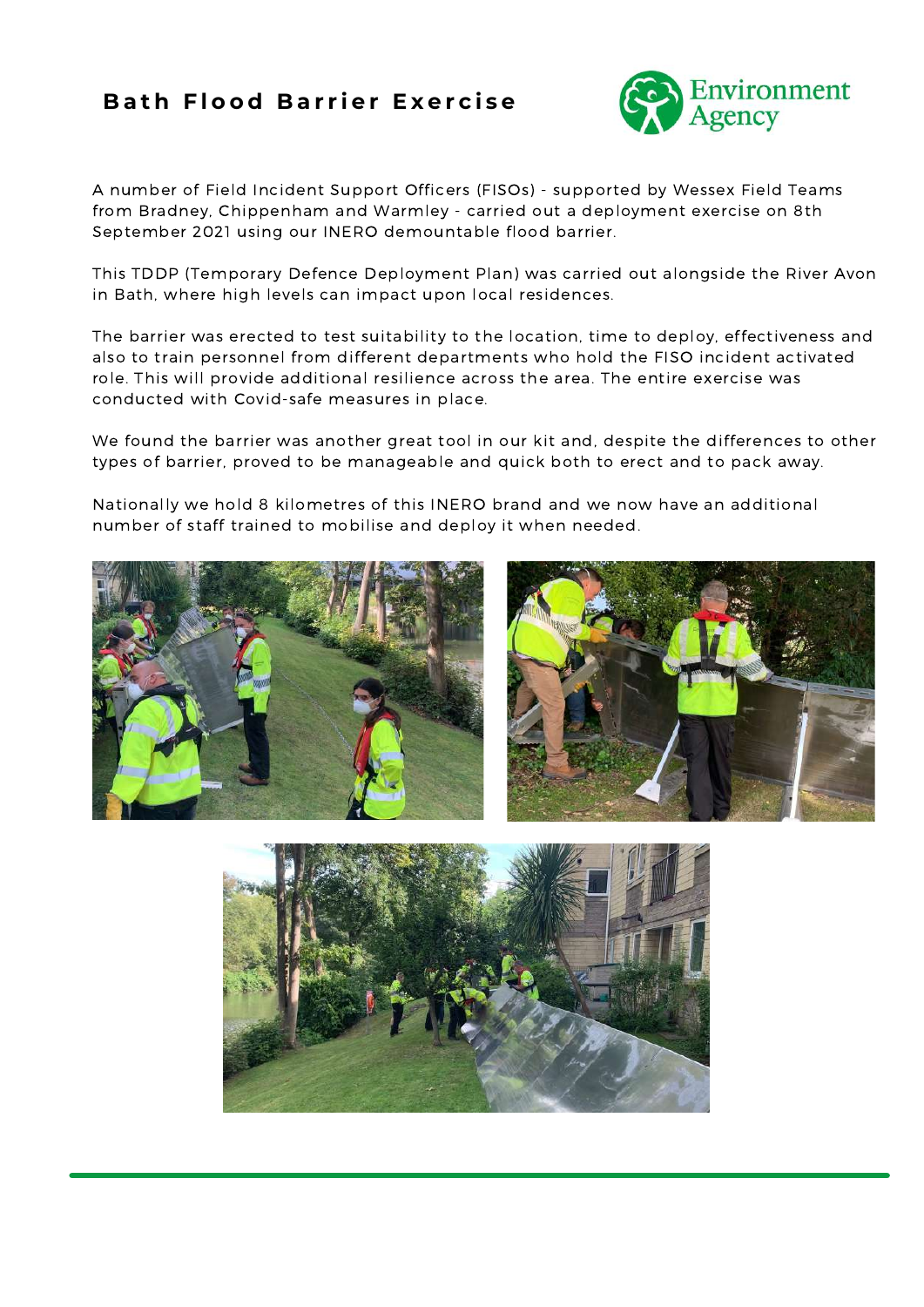### **Bath Flood Barrier Exercise**



A number of Field Incident Support Officers (FISOs) - supported by Wessex Field Teams from Bradney, Chippenham and Warmley - carried out a deployment exercise on 8th September 2021 using our INERO demountable flood barrier.

This TDDP (Temporary Defence Deployment Plan) was carried out alongside the River Avon in Bath, where high levels can impact upon local residences.

The barrier was erected to test suitability to the location, time to deploy, effectiveness and also to train personnel from different departments who hold the FISO incident activated role. This will provide additional resilience across the area. The entire exercise was conducted with Covid-safe measures in place.

We found the barrier was another great tool in our kit and, despite the differences to other types of barrier, proved to be manageable and quick both to erect and to pack away.

Nationally we hold 8 kilometres of this INERO brand and we now have an additional number of staff trained to mobilise and deploy it when needed.



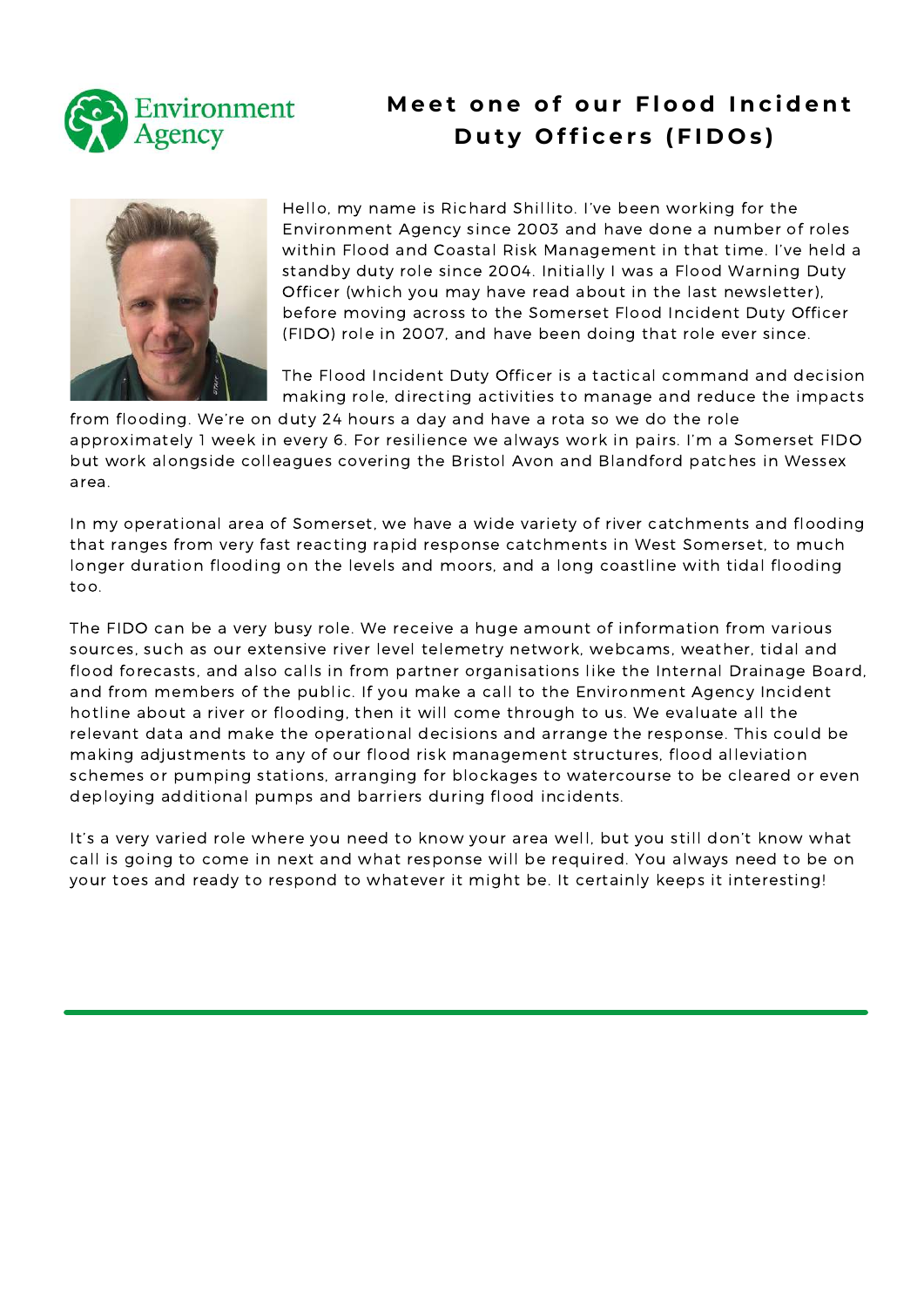

## **M e e t o n e o f o u r F l o o d I n c i d e n t Duty Officers (FIDOs)**



Hello, my name is Richard Shillito. I've been working for the Environment Agency since 2003 and have done a number of roles within Flood and Coastal Risk Management in that time. I've held a standby duty role since 2004. Initially I was a Flood Warning Duty Officer (which you may have read about in the last newsletter), before moving across to the Somerset Flood Incident Duty Officer (FIDO) role in 2007, and have been doing that role ever since.

The Flood Incident Duty Officer is a tactical command and decision making role, directing activities to manage and reduce the impacts

from flooding. We're on duty 24 hours a day and have a rota so we do the role approximately 1 week in every 6. For resilience we always work in pairs. I'm a Somerset FIDO but work alongside colleagues covering the Bristol Avon and Blandford patches in Wessex area.

In my operational area of Somerset, we have a wide variety of river catchments and flooding that ranges from very fast reacting rapid response catchments in West Somerset, to much longer duration flooding on the levels and moors, and a long coastline with tidal flooding too.

The FIDO can be a very busy role. We receive a huge amount of information from various sources, such as our extensive river level telemetry network, webcams, weather, tidal and flood forecasts, and also calls in from partner organisations like the Internal Drainage Board, and from members of the public. If you make a call to the Environment Agency Incident hotline about a river or flooding, then it will come through to us. We evaluate all the relevant data and make the operational decisions and arrange the response. This could be making adjustments to any of our flood risk management structures, flood alleviation schemes or pumping stations, arranging for blockages to watercourse to be cleared or even deploying additional pumps and barriers during flood incidents.

It's a very varied role where you need to know your area well, but you still don't know what call is going to come in next and what response will be required. You always need to be on your toes and ready to respond to whatever it might be. It certainly keeps it interesting!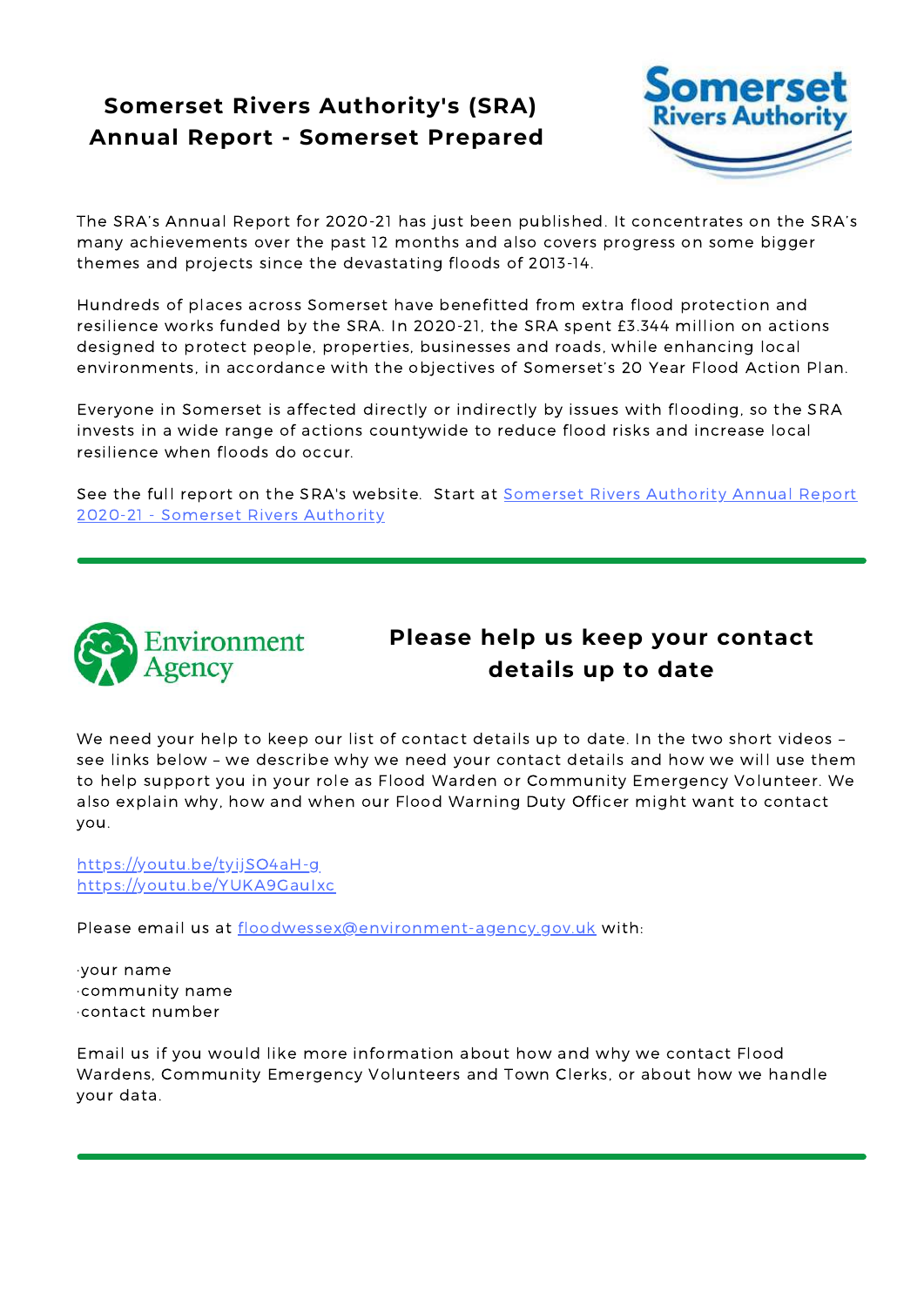## **Somerset Rivers Authority's (SRA) Annual Report - Somerset Prepared**



The SRA's Annual Report for 2020-21 has just been published. It concentrates on the SRA's many achievements over the past 12 months and also covers progress on some bigger themes and projects since the devastating floods of 2013-14.

Hundreds of places across Somerset have benefitted from extra flood protection and resilience works funded by the SRA. In 2020-21, the SRA spent £3.344 million on actions designed to protect people, properties, businesses and roads, while enhancing local environments, in accordance with the objectives of Somerset's 20 Year Flood Action Plan.

Everyone in Somerset is affected directly or indirectly by issues with flooding, so the SRA invests in a wide range of actions countywide to reduce flood risks and increase local resilience when floods do occur.

See the full report on the SRA's [website.](https://eur01.safelinks.protection.outlook.com/?url=https%3A%2F%2Fwww.somersetriversauthority.org.uk%2Fflood-risk-work%2Fsra-annual-report-2020-21%2F&data=04%7C01%7CEGiffard%40somerset.gov.uk%7C3954a97a9d154af4c0b708d9572d8100%7Cb524f606f77a4aa28da2fe70343b0cce%7C0%7C0%7C637636675508679814%7CUnknown%7CTWFpbGZsb3d8eyJWIjoiMC4wLjAwMDAiLCJQIjoiV2luMzIiLCJBTiI6Ik1haWwiLCJXVCI6Mn0%3D%7C1000&sdata=dRuJ%2F96I4iJsaCGJRNno91%2FhMaT4b9LuZAEvzjf%2FyAQ%3D&reserved=0) Start at Somerset Rivers Authority Annual Report 2020-21 - Somerset Rivers Authority



### **Please help us keep your contact details up to date**

We need your help to keep our list of contact details up to date. In the two short videos – see links below – we describe why we need your contact details and how we will use them to help support you in your role as Flood Warden or Community Emergency Volunteer. We also explain why, how and when our Flood Warning Duty Officer might want to contact you.

https://youtu.be/tyijSO4aH-g https://youtu.be/YUKA9GauIxc

Please email us at floodwessex@environment-agency.gov.uk with:

·your name ·community name ·contact number

Email us if you would like more information about how and why we contact Flood Wardens, Community Emergency Volunteers and Town Clerks, or about how we handle your data.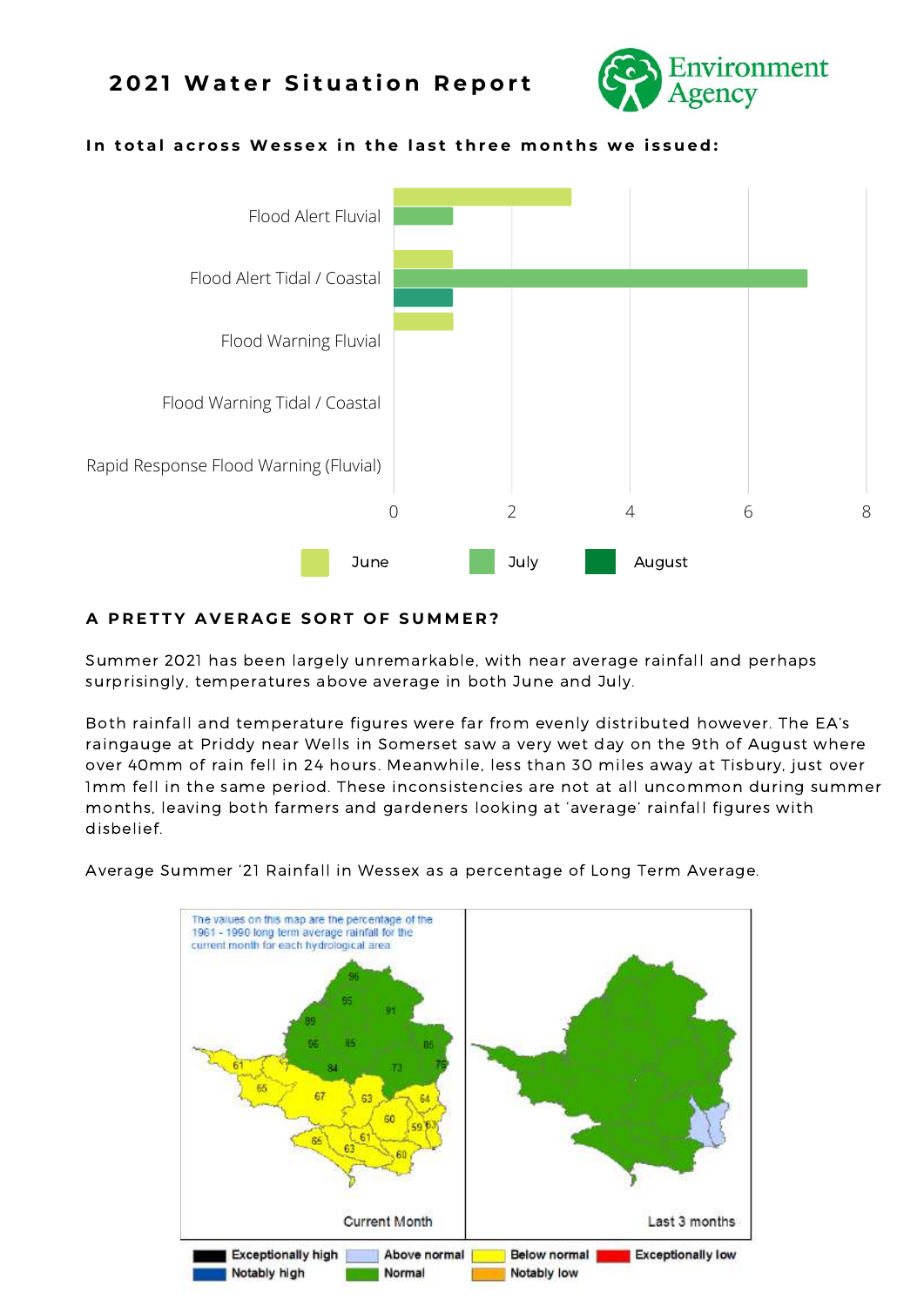### **2 0 2 1 Wa t e r S i t u a t i o n R e p o r t**



#### In total across Wessex in the last three months we issued:



#### A PRETTY AVERAGE SORT OF SUMMER?

Summer 2021 has been largely unremarkable, with near average rainfall and perhaps surprisingly, temperatures above average in both June and July.

Both rainfall and temperature figures were far from evenly distributed however. The EA's raingauge at Priddy near Wells in Somerset saw a very wet day on the 9th of August where over 40mm of rain fell in 24 hours. Meanwhile, less than 30 miles away at Tisbury, just over 1mm fell in the same period. These inconsistencies are not at all uncommon during summer months, leaving both farmers and gardeners looking at 'average' rainfall figures with disbelief.

Average Summer '21 Rainfall in Wessex as a percentage of Long Term Average.

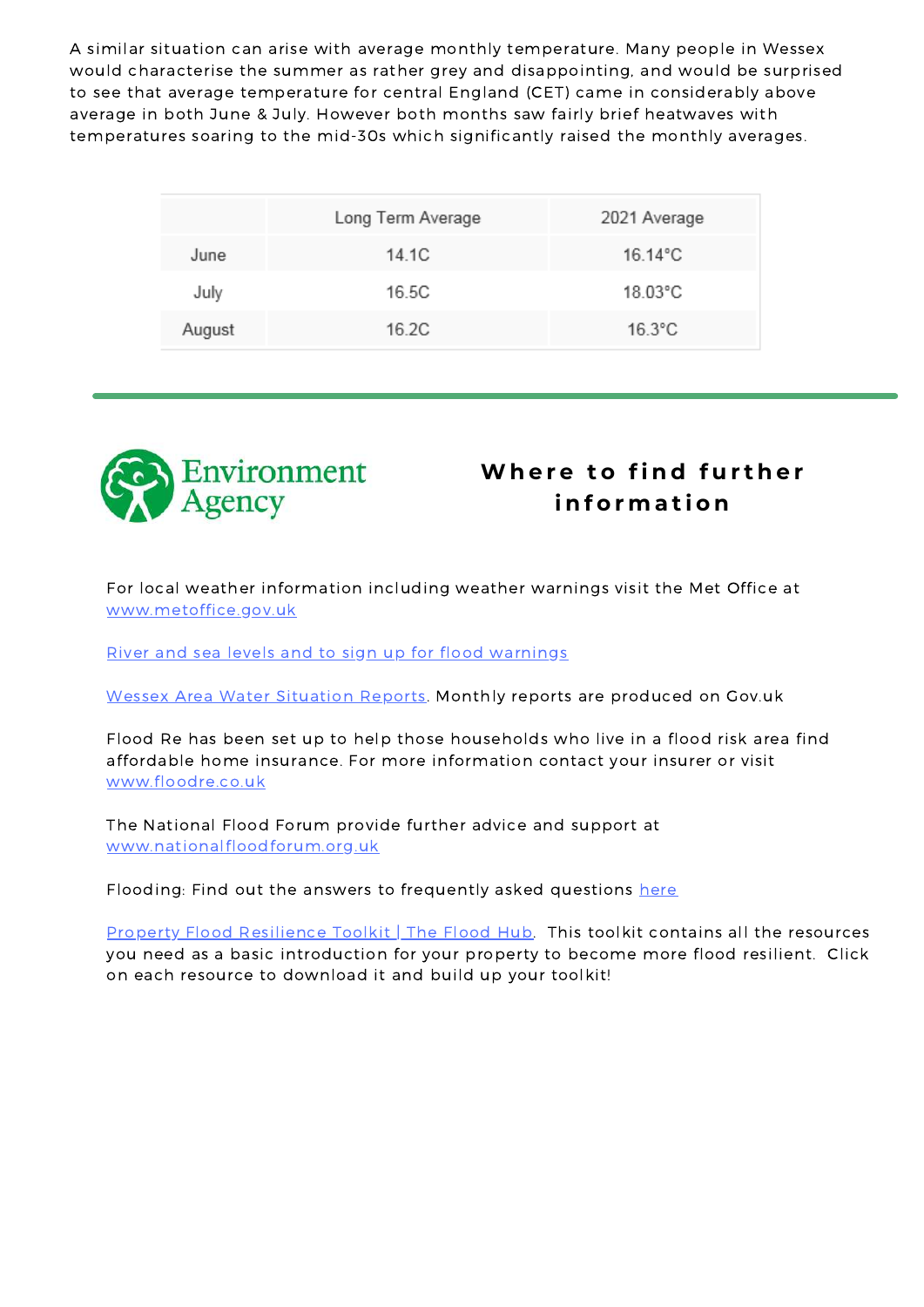A similar situation can arise with average monthly temperature. Many people in Wessex would characterise the summer as rather grey and disappointing, and would be surprised to see that average temperature for central England (CET) came in considerably above average in both June & July. However both months saw fairly brief heatwaves with temperatures soaring to the mid-30s which significantly raised the monthly averages.

|        | Long Term Average | 2021 Average |
|--------|-------------------|--------------|
| June   | 14.1C             | 16.14°C      |
| July   | 16.5C             | 18.03°C      |
| August | 16.2C             | $16.3$ °C    |



## **Where to find further i n f o r m a t i o n**

For local weather information including weather warnings visit the Met Office at [www.metoffice.gov.uk](http://www.metoffice.gov.uk/)

River and sea levels and to sign up for flood [warnings](https://flood-warning-information.service.gov.uk/river-and-sea-levels?dm_i=3O4M,15532,5KQ4FE,41BZU,1)

Wessex Area Water Situation [Reports](https://www.gov.uk/government/publications/water-situation-local-area-reports?dm_i=3O4M,15532,5KQ4FE,41BZA,1). Monthly reports are produced on Gov.uk

Flood Re has been set up to help those households who live in a flood risk area find affordable home insurance. For more information contact your insurer or visit [www.floodre.co.uk](http://www.floodre.co.uk/)

The National Flood Forum provide further advice and support at [www.nationalfloodforum.org.uk](http://www.nationalfloodforum.org.uk/)

Flooding: Find out the answers to frequently asked questions [here](https://assets.publishing.service.gov.uk/government/uploads/system/uploads/attachment_data/file/348925/Flooding_questions_and_answers_February_2014.pdf?dm_i=3O4M,15532,5KQ4FE,41BZX,1)

Property Flood [Resilience](https://thefloodhub.co.uk/property-flood-resilience-toolkit/?term=sandbags) Toolkit | The Flood Hub. This toolkit contains all the resources you need as a basic introduction for your property to become more flood resilient. Click on each resource to download it and build up your toolkit!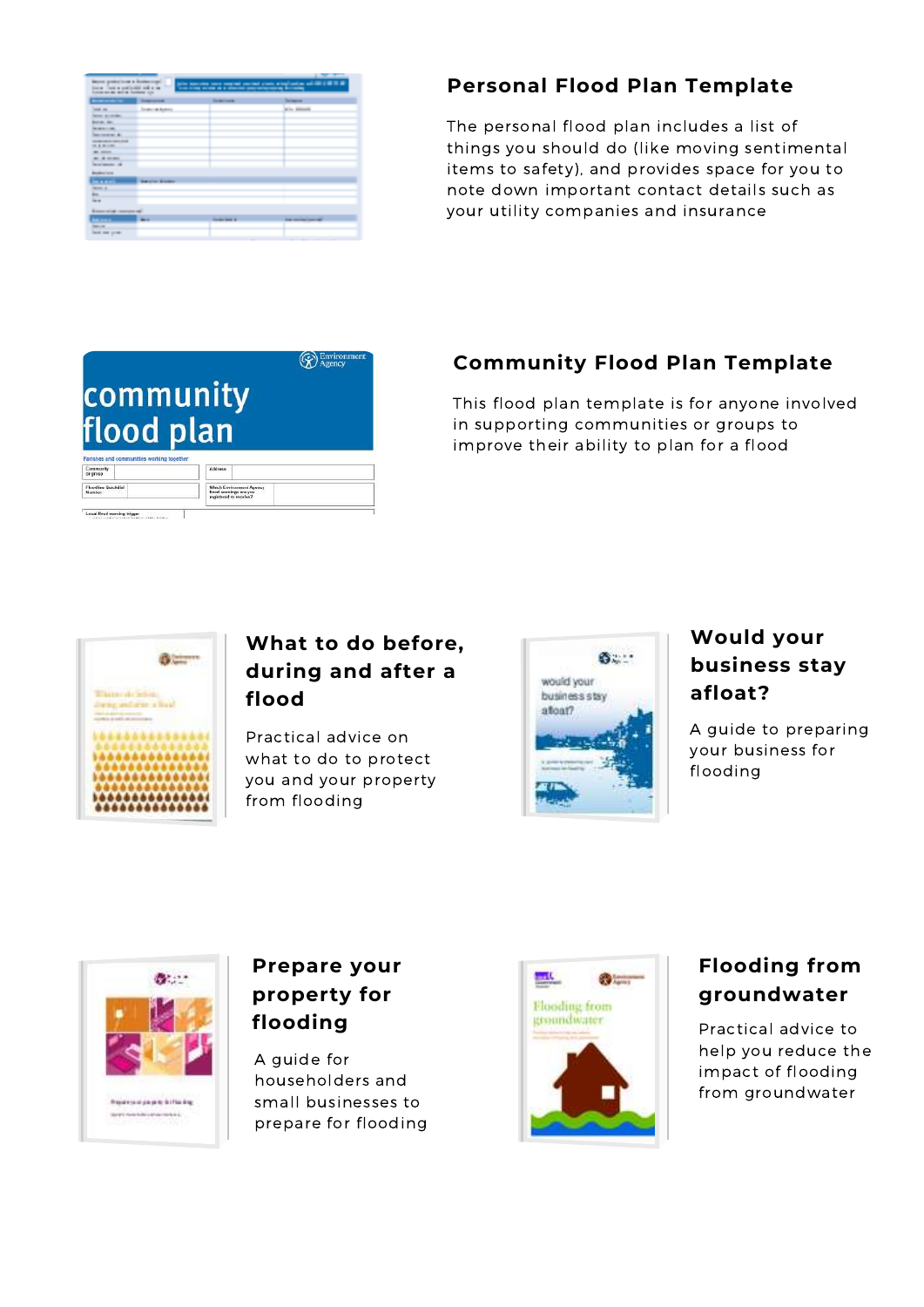|                                                                                                                                                                                                                                                                                                                                    |                                                          |                                                                         | <b>STATISTICS</b>                                            |  |
|------------------------------------------------------------------------------------------------------------------------------------------------------------------------------------------------------------------------------------------------------------------------------------------------------------------------------------|----------------------------------------------------------|-------------------------------------------------------------------------|--------------------------------------------------------------|--|
| <b>Barnet and Children a Scottsmann</b><br>(also through your complete) product plants which had no call that it is a little<br>The country street country<br>the thing when it is a shorter payment property following<br><b><i><u>Bondal Control of Highlands and Artists</u></i></b><br><b>Score and an end at Condemn com-</b> |                                                          |                                                                         |                                                              |  |
| <b>BURGHAMEN</b>                                                                                                                                                                                                                                                                                                                   | <b>Construction</b>                                      | <b>Services</b>                                                         | <b>Streets</b>                                               |  |
| <b>CONTRACTOR</b>                                                                                                                                                                                                                                                                                                                  | <b>Service Advisor</b>                                   |                                                                         | <b>Contractor</b>                                            |  |
| <b>December Sections State</b>                                                                                                                                                                                                                                                                                                     |                                                          |                                                                         |                                                              |  |
| <b>Bondary Barr</b>                                                                                                                                                                                                                                                                                                                |                                                          |                                                                         |                                                              |  |
| <b>DESIGNATIONS</b>                                                                                                                                                                                                                                                                                                                |                                                          |                                                                         |                                                              |  |
| <b>CONTRACTOR</b> CO.                                                                                                                                                                                                                                                                                                              |                                                          |                                                                         |                                                              |  |
| <b>CONTRACTOR CONTRACTOR</b><br><b>COLORED AND INCOME.</b>                                                                                                                                                                                                                                                                         |                                                          |                                                                         |                                                              |  |
| <b>COLORED CONTROL</b>                                                                                                                                                                                                                                                                                                             |                                                          |                                                                         |                                                              |  |
| <b>CONTRACTOR</b>                                                                                                                                                                                                                                                                                                                  |                                                          |                                                                         |                                                              |  |
| <b>Representative</b>                                                                                                                                                                                                                                                                                                              |                                                          |                                                                         |                                                              |  |
| ----<br><b>Booker Corp.</b>                                                                                                                                                                                                                                                                                                        |                                                          |                                                                         |                                                              |  |
| in a stat                                                                                                                                                                                                                                                                                                                          | and the company of the company<br><b>Barbara Barbara</b> |                                                                         |                                                              |  |
| <b>Denver of</b>                                                                                                                                                                                                                                                                                                                   |                                                          |                                                                         |                                                              |  |
| <b>The Contract</b>                                                                                                                                                                                                                                                                                                                |                                                          |                                                                         |                                                              |  |
| <b>STATIST</b>                                                                                                                                                                                                                                                                                                                     |                                                          |                                                                         |                                                              |  |
| <b>Bigger and all company and I</b>                                                                                                                                                                                                                                                                                                |                                                          |                                                                         |                                                              |  |
|                                                                                                                                                                                                                                                                                                                                    | <b>BREAD</b>                                             | <b>All Contract Contract</b><br><b>Constitution of the Constitution</b> | and the state of the con-<br><b>State considerations and</b> |  |
| <b><i>STARTED START</i></b>                                                                                                                                                                                                                                                                                                        |                                                          |                                                                         |                                                              |  |
| <b>Carolina Company Company</b>                                                                                                                                                                                                                                                                                                    |                                                          |                                                                         |                                                              |  |
|                                                                                                                                                                                                                                                                                                                                    |                                                          |                                                                         |                                                              |  |

### **Personal Flood Plan Template**

The personal flood plan includes a list of things you should do (like moving sentimental items to safety), and provides space for you to note down important contact details such as your utility companies and insurance

### **Environ** community flood plan Community<br>or prosp **Floodine Quickdia**<br>Nambar Which Environment Agency<br>flood sountings are you<br>resistened to monive?

### **Community Flood Plan Template**

This flood plan template is for anyone involved in supporting communities or groups to improve their ability to plan for a flood



Local flood warning trigger

### **What to do before, during and after a flood**

Practical advice on what to do to protect you and your property from flooding



### **Would your business stay afloat?**

A guide to preparing your business for flooding



## **Prepare your property for flooding**

A guide for householders and small businesses to prepare for flooding



## **Flooding from groundwater**

Practical advice to help you reduce the impact of flooding from groundwater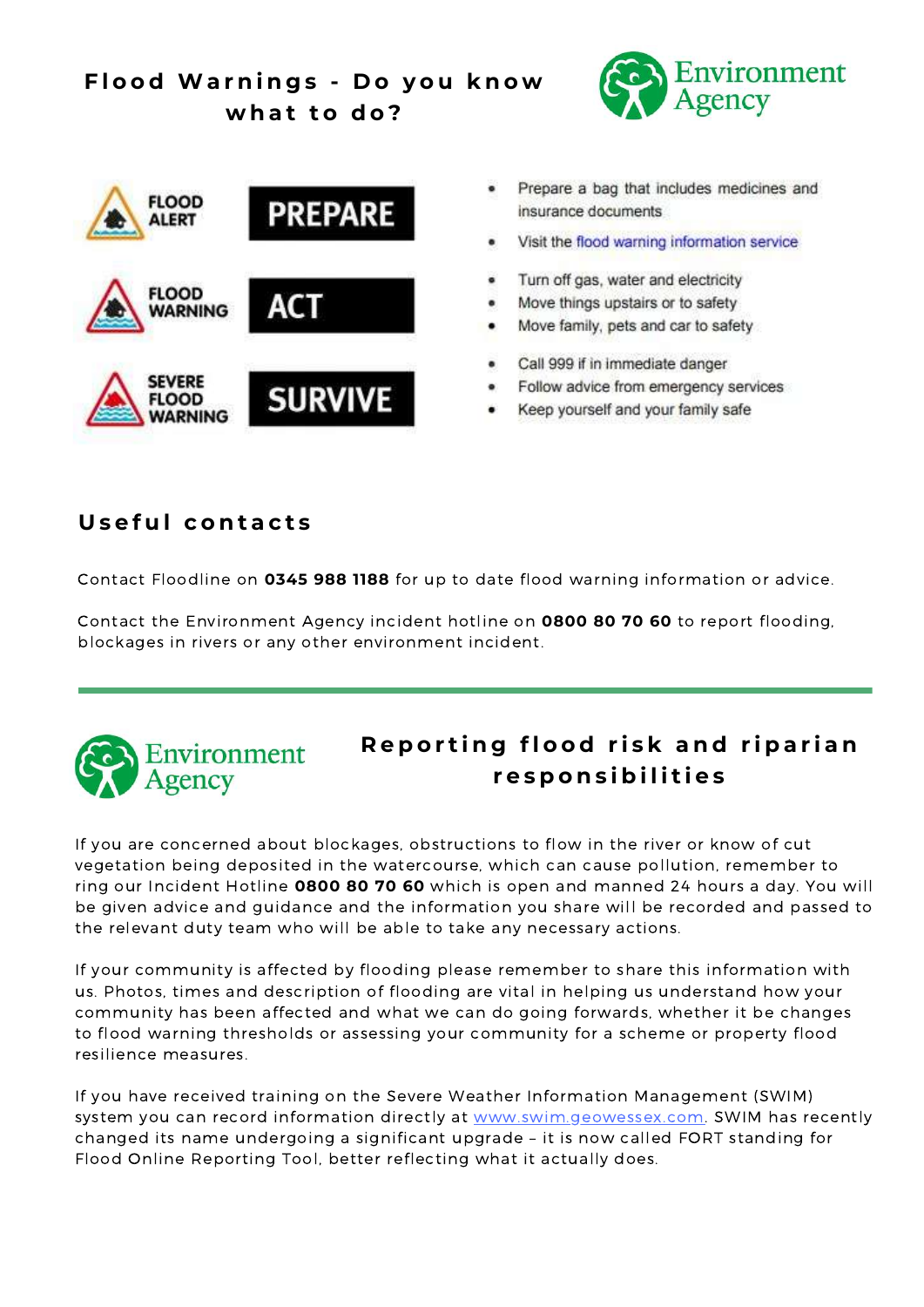## **F l o o d Wa r n i n g s - D o y o u k n o w w h a t t o d o ?**





- Prepare a bag that includes medicines and insurance documents
- Visit the flood warning information service
- Turn off gas, water and electricity
- Move things upstairs or to safety
- Move family, pets and car to safety
- Call 999 if in immediate danger
- Follow advice from emergency services
- Keep yourself and your family safe

### **U s e f u l c o n t a c t s**

Contact Floodline on **0345 988 1188** for up to date flood warning information or advice.

Contact the Environment Agency incident hotline on **0800 80 70 60** to report flooding, blockages in rivers or any other environment incident.



## Reporting flood risk and riparian **r e s p o n s i b i l i t i e s**

If you are concerned about blockages, obstructions to flow in the river or know of cut vegetation being deposited in the watercourse, which can cause pollution, remember to ring our Incident Hotline **0800 80 70 60** which is open and manned 24 hours a day. You will be given advice and guidance and the information you share will be recorded and passed to the relevant duty team who will be able to take any necessary actions.

If your community is affected by flooding please remember to share this information with us. Photos, times and description of flooding are vital in helping us understand how your community has been affected and what we can do going forwards, whether it be changes to flood warning thresholds or assessing your community for a scheme or property flood resilience measures.

If you have received training on the Severe Weather Information Management (SWIM) system you can record information directly at [www.swim.geowessex.com.](https://swim.geowessex.com/uk) SWIM has recently changed its name undergoing a significant upgrade – it is now called FORT standing for Flood Online Reporting Tool, better reflecting what it actually does.